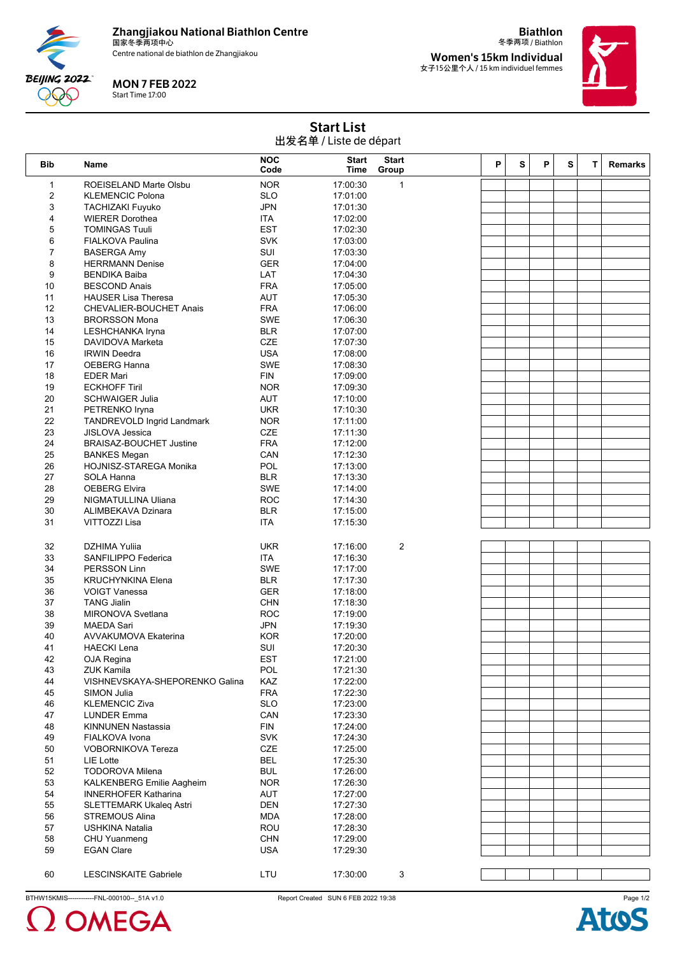

Centre national de biathlon de Zhangjiakou



## MON 7 FEB 2022

Start Time 17:00

**Biathlon** 冬季两项 / Biathlon

**Women's 15km Individual** 女子15公里个人 / 15 km individuel femmes



| <b>Start List</b>      |  |
|------------------------|--|
| 出发名单 / Liste de départ |  |
|                        |  |

| <b>Bib</b>     | Name                                 | <b>NOC</b><br>Code | <b>Start</b><br>Time | <b>Start</b><br>Group | P | S | P | S | T. | <b>Remarks</b> |
|----------------|--------------------------------------|--------------------|----------------------|-----------------------|---|---|---|---|----|----------------|
| $\mathbf{1}$   | ROEISELAND Marte Olsbu               | <b>NOR</b>         | 17:00:30             | $\mathbf{1}$          |   |   |   |   |    |                |
| $\overline{2}$ | <b>KLEMENCIC Polona</b>              | <b>SLO</b>         | 17:01:00             |                       |   |   |   |   |    |                |
| 3              | <b>TACHIZAKI Fuyuko</b>              | <b>JPN</b>         | 17:01:30             |                       |   |   |   |   |    |                |
| 4              | <b>WIERER Dorothea</b>               | <b>ITA</b>         | 17:02:00             |                       |   |   |   |   |    |                |
| 5              | <b>TOMINGAS Tuuli</b>                | <b>EST</b>         | 17:02:30             |                       |   |   |   |   |    |                |
| 6              | FIALKOVA Paulina                     | <b>SVK</b>         | 17:03:00             |                       |   |   |   |   |    |                |
| $\overline{7}$ | <b>BASERGA Amy</b>                   | SUI                | 17:03:30             |                       |   |   |   |   |    |                |
| 8              | <b>HERRMANN Denise</b>               | <b>GER</b>         | 17:04:00             |                       |   |   |   |   |    |                |
| 9              | <b>BENDIKA Baiba</b>                 | LAT                | 17:04:30             |                       |   |   |   |   |    |                |
| 10             | <b>BESCOND Anais</b>                 | <b>FRA</b>         | 17:05:00             |                       |   |   |   |   |    |                |
| 11             | <b>HAUSER Lisa Theresa</b>           | <b>AUT</b>         | 17:05:30             |                       |   |   |   |   |    |                |
| 12             | <b>CHEVALIER-BOUCHET Anais</b>       | <b>FRA</b>         | 17:06:00             |                       |   |   |   |   |    |                |
| 13             | <b>BRORSSON Mona</b>                 | SWE                | 17:06:30             |                       |   |   |   |   |    |                |
| 14             | LESHCHANKA Iryna                     | <b>BLR</b>         | 17:07:00             |                       |   |   |   |   |    |                |
| 15             | DAVIDOVA Marketa                     | CZE                | 17:07:30             |                       |   |   |   |   |    |                |
| 16             | <b>IRWIN Deedra</b>                  | <b>USA</b>         | 17:08:00             |                       |   |   |   |   |    |                |
| 17             | <b>OEBERG Hanna</b>                  | <b>SWE</b>         | 17:08:30             |                       |   |   |   |   |    |                |
| 18             | <b>EDER Mari</b>                     | <b>FIN</b>         | 17:09:00             |                       |   |   |   |   |    |                |
| 19             | <b>ECKHOFF Tiril</b>                 | <b>NOR</b>         | 17:09:30             |                       |   |   |   |   |    |                |
| 20             | <b>SCHWAIGER Julia</b>               | AUT                | 17:10:00             |                       |   |   |   |   |    |                |
| 21             | PETRENKO Iryna                       | <b>UKR</b>         | 17:10:30             |                       |   |   |   |   |    |                |
| 22             | TANDREVOLD Ingrid Landmark           | <b>NOR</b>         | 17:11:00             |                       |   |   |   |   |    |                |
| 23             | <b>JISLOVA Jessica</b>               | CZE                | 17:11:30             |                       |   |   |   |   |    |                |
| 24             | <b>BRAISAZ-BOUCHET Justine</b>       | <b>FRA</b>         | 17:12:00             |                       |   |   |   |   |    |                |
| 25             | <b>BANKES Megan</b>                  | CAN<br>POL         | 17:12:30             |                       |   |   |   |   |    |                |
| 26<br>27       | HOJNISZ-STAREGA Monika<br>SOLA Hanna | <b>BLR</b>         | 17:13:00<br>17:13:30 |                       |   |   |   |   |    |                |
| 28             | <b>OEBERG Elvira</b>                 | <b>SWE</b>         | 17:14:00             |                       |   |   |   |   |    |                |
| 29             | NIGMATULLINA Uliana                  | <b>ROC</b>         | 17:14:30             |                       |   |   |   |   |    |                |
| 30             | ALIMBEKAVA Dzinara                   | <b>BLR</b>         | 17:15:00             |                       |   |   |   |   |    |                |
| 31             | VITTOZZI Lisa                        | <b>ITA</b>         | 17:15:30             |                       |   |   |   |   |    |                |
|                |                                      |                    |                      |                       |   |   |   |   |    |                |
| 32             | <b>DZHIMA Yulija</b>                 | <b>UKR</b>         | 17:16:00             | 2                     |   |   |   |   |    |                |
| 33             | SANFILIPPO Federica                  | <b>ITA</b>         | 17:16:30             |                       |   |   |   |   |    |                |
| 34             | <b>PERSSON Linn</b>                  | <b>SWE</b>         | 17:17:00             |                       |   |   |   |   |    |                |
| 35             | <b>KRUCHYNKINA Elena</b>             | <b>BLR</b>         | 17:17:30             |                       |   |   |   |   |    |                |
| 36             | <b>VOIGT Vanessa</b>                 | GER                | 17:18:00             |                       |   |   |   |   |    |                |
| 37             | <b>TANG Jialin</b>                   | <b>CHN</b>         | 17:18:30             |                       |   |   |   |   |    |                |
| 38             | MIRONOVA Svetlana                    | <b>ROC</b>         | 17:19:00             |                       |   |   |   |   |    |                |
| 39             | <b>MAEDA Sari</b>                    | <b>JPN</b>         | 17:19:30             |                       |   |   |   |   |    |                |
| 40             | <b>AVVAKUMOVA Ekaterina</b>          | <b>KOR</b>         | 17:20:00             |                       |   |   |   |   |    |                |
| 41             | <b>HAECKI Lena</b>                   | SUI                | 17:20:30             |                       |   |   |   |   |    |                |
| 42             | OJA Regina                           | <b>EST</b>         | 17:21:00             |                       |   |   |   |   |    |                |
| 43             | <b>ZUK Kamila</b>                    | POL                | 17:21:30             |                       |   |   |   |   |    |                |
| 44             | VISHNEVSKAYA-SHEPORENKO Galina       | KAZ                | 17:22:00             |                       |   |   |   |   |    |                |
| 45             | SIMON Julia                          | <b>FRA</b>         | 17:22:30             |                       |   |   |   |   |    |                |
| 46             | <b>KLEMENCIC Ziva</b>                | <b>SLO</b>         | 17:23:00             |                       |   |   |   |   |    |                |
| 47             | <b>LUNDER Emma</b>                   | CAN                | 17:23:30             |                       |   |   |   |   |    |                |
| 48             | <b>KINNUNEN Nastassia</b>            | <b>FIN</b>         | 17:24:00             |                       |   |   |   |   |    |                |
| 49             | FIALKOVA Ivona                       | <b>SVK</b>         | 17:24:30             |                       |   |   |   |   |    |                |
| 50             | <b>VOBORNIKOVA Tereza</b>            | CZE                | 17:25:00             |                       |   |   |   |   |    |                |
| 51             | LIE Lotte                            | <b>BEL</b>         | 17:25:30             |                       |   |   |   |   |    |                |
| 52             | <b>TODOROVA Milena</b>               | <b>BUL</b>         | 17:26:00             |                       |   |   |   |   |    |                |
| 53             | <b>KALKENBERG Emilie Aagheim</b>     | <b>NOR</b>         | 17:26:30             |                       |   |   |   |   |    |                |
| 54             | <b>INNERHOFER Katharina</b>          | AUT                | 17:27:00             |                       |   |   |   |   |    |                |
| 55             | <b>SLETTEMARK Ukaleg Astri</b>       | <b>DEN</b>         | 17:27:30             |                       |   |   |   |   |    |                |
| 56             | <b>STREMOUS Alina</b>                | <b>MDA</b>         | 17:28:00             |                       |   |   |   |   |    |                |
| 57             | <b>USHKINA Natalia</b>               | ROU                | 17:28:30             |                       |   |   |   |   |    |                |
| 58             | CHU Yuanmeng                         | <b>CHN</b>         | 17:29:00             |                       |   |   |   |   |    |                |
| 59             | <b>EGAN Clare</b>                    | <b>USA</b>         | 17:29:30             |                       |   |   |   |   |    |                |
|                |                                      |                    |                      |                       |   |   |   |   |    |                |
| 60             | <b>LESCINSKAITE Gabriele</b>         | LTU                | 17:30:00             | 3                     |   |   |   |   |    |                |

BTHW15KMIS------------FNL-000100--\_51A v1.0 Report Created SUN 6 FEB 2022 19:38